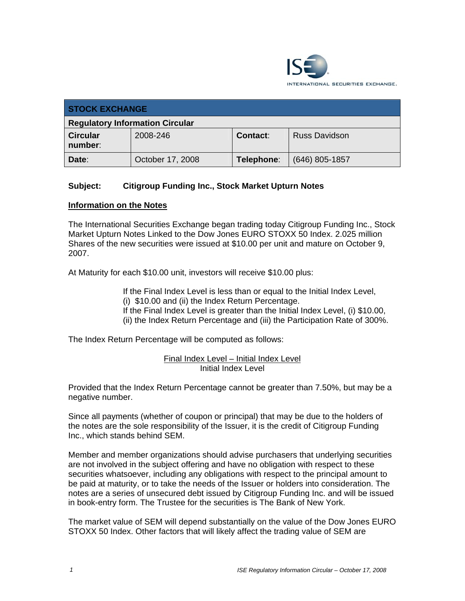

| <b>STOCK EXCHANGE</b>                  |                  |            |                      |  |
|----------------------------------------|------------------|------------|----------------------|--|
| <b>Regulatory Information Circular</b> |                  |            |                      |  |
| <b>Circular</b><br>number:             | 2008-246         | Contact:   | <b>Russ Davidson</b> |  |
| Date:                                  | October 17, 2008 | Telephone: | $(646)$ 805-1857     |  |

## **Subject: Citigroup Funding Inc., Stock Market Upturn Notes**

## **Information on the Notes**

The International Securities Exchange began trading today Citigroup Funding Inc., Stock Market Upturn Notes Linked to the Dow Jones EURO STOXX 50 Index. 2.025 million Shares of the new securities were issued at \$10.00 per unit and mature on October 9, 2007.

At Maturity for each \$10.00 unit, investors will receive \$10.00 plus:

If the Final Index Level is less than or equal to the Initial Index Level, (i) \$10.00 and (ii) the Index Return Percentage.

If the Final Index Level is greater than the Initial Index Level, (i) \$10.00, (ii) the Index Return Percentage and (iii) the Participation Rate of 300%.

The Index Return Percentage will be computed as follows:

## Final Index Level – Initial Index Level Initial Index Level

Provided that the Index Return Percentage cannot be greater than 7.50%, but may be a negative number.

Since all payments (whether of coupon or principal) that may be due to the holders of the notes are the sole responsibility of the Issuer, it is the credit of Citigroup Funding Inc., which stands behind SEM.

Member and member organizations should advise purchasers that underlying securities are not involved in the subject offering and have no obligation with respect to these securities whatsoever, including any obligations with respect to the principal amount to be paid at maturity, or to take the needs of the Issuer or holders into consideration. The notes are a series of unsecured debt issued by Citigroup Funding Inc. and will be issued in book-entry form. The Trustee for the securities is The Bank of New York.

The market value of SEM will depend substantially on the value of the Dow Jones EURO STOXX 50 Index. Other factors that will likely affect the trading value of SEM are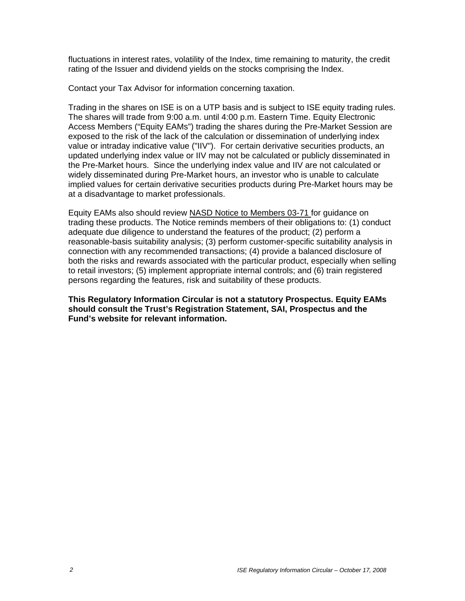fluctuations in interest rates, volatility of the Index, time remaining to maturity, the credit rating of the Issuer and dividend yields on the stocks comprising the Index.

Contact your Tax Advisor for information concerning taxation.

Trading in the shares on ISE is on a UTP basis and is subject to ISE equity trading rules. The shares will trade from 9:00 a.m. until 4:00 p.m. Eastern Time. Equity Electronic Access Members ("Equity EAMs") trading the shares during the Pre-Market Session are exposed to the risk of the lack of the calculation or dissemination of underlying index value or intraday indicative value ("IIV"). For certain derivative securities products, an updated underlying index value or IIV may not be calculated or publicly disseminated in the Pre-Market hours. Since the underlying index value and IIV are not calculated or widely disseminated during Pre-Market hours, an investor who is unable to calculate implied values for certain derivative securities products during Pre-Market hours may be at a disadvantage to market professionals.

Equity EAMs also should review NASD Notice to Members 03-71 for guidance on trading these products. The Notice reminds members of their obligations to: (1) conduct adequate due diligence to understand the features of the product; (2) perform a reasonable-basis suitability analysis; (3) perform customer-specific suitability analysis in connection with any recommended transactions; (4) provide a balanced disclosure of both the risks and rewards associated with the particular product, especially when selling to retail investors; (5) implement appropriate internal controls; and (6) train registered persons regarding the features, risk and suitability of these products.

**This Regulatory Information Circular is not a statutory Prospectus. Equity EAMs should consult the Trust's Registration Statement, SAI, Prospectus and the Fund's website for relevant information.**